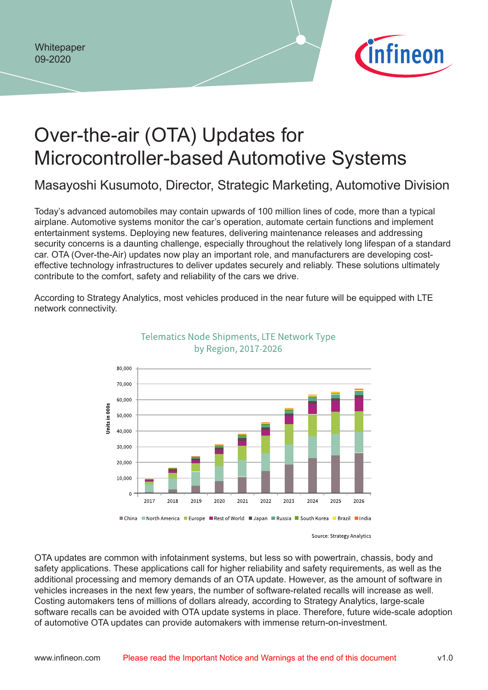

# Over-the-air (OTA) Updates for Microcontroller-based Automotive Systems

Masayoshi Kusumoto, Director, Strategic Marketing, Automotive Division

Today's advanced automobiles may contain upwards of 100 million lines of code, more than a typical airplane. Automotive systems monitor the car's operation, automate certain functions and implement entertainment systems. Deploying new features, delivering maintenance releases and addressing security concerns is a daunting challenge, especially throughout the relatively long lifespan of a standard car. OTA (Over-the-Air) updates now play an important role, and manufacturers are developing costeffective technology infrastructures to deliver updates securely and reliably. These solutions ultimately contribute to the comfort, safety and reliability of the cars we drive.

According to Strategy Analytics, most vehicles produced in the near future will be equipped with LTE network connectivity.



Telematics Node Shipments, LTE Network Type by Region, 2017-2026

Source: Strategy Analytics

OTA updates are common with infotainment systems, but less so with powertrain, chassis, body and safety applications. These applications call for higher reliability and safety requirements, as well as the additional processing and memory demands of an OTA update. However, as the amount of software in vehicles increases in the next few years, the number of software-related recalls will increase as well. Costing automakers tens of millions of dollars already, according to Strategy Analytics, large-scale software recalls can be avoided with OTA update systems in place. Therefore, future wide-scale adoption of automotive OTA updates can provide automakers with immense return-on-investment.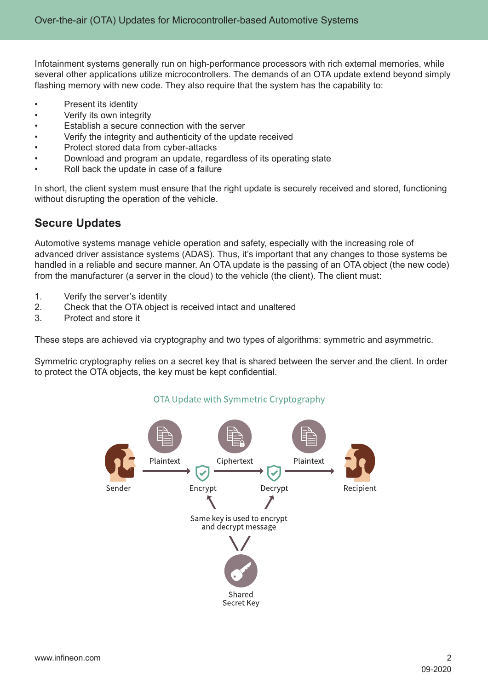Infotainment systems generally run on high-performance processors with rich external memories, while several other applications utilize microcontrollers. The demands of an OTA update extend beyond simply flashing memory with new code. They also require that the system has the capability to:

- Present its identity
- Verify its own integrity
- Establish a secure connection with the server
- Verify the integrity and authenticity of the update received
- Protect stored data from cyber-attacks
- Download and program an update, regardless of its operating state
- Roll back the update in case of a failure

In short, the client system must ensure that the right update is securely received and stored, functioning without disrupting the operation of the vehicle.

#### **Secure Updates**

Automotive systems manage vehicle operation and safety, especially with the increasing role of advanced driver assistance systems (ADAS). Thus, it's important that any changes to those systems be handled in a reliable and secure manner. An OTA update is the passing of an OTA object (the new code) from the manufacturer (a server in the cloud) to the vehicle (the client). The client must:

- 1. Verify the server's identity
- 2. Check that the OTA object is received intact and unaltered
- 3. Protect and store it

These steps are achieved via cryptography and two types of algorithms: symmetric and asymmetric.

Symmetric cryptography relies on a secret key that is shared between the server and the client. In order to protect the OTA objects, the key must be kept confidential.



#### OTA Update with Symmetric Cryptography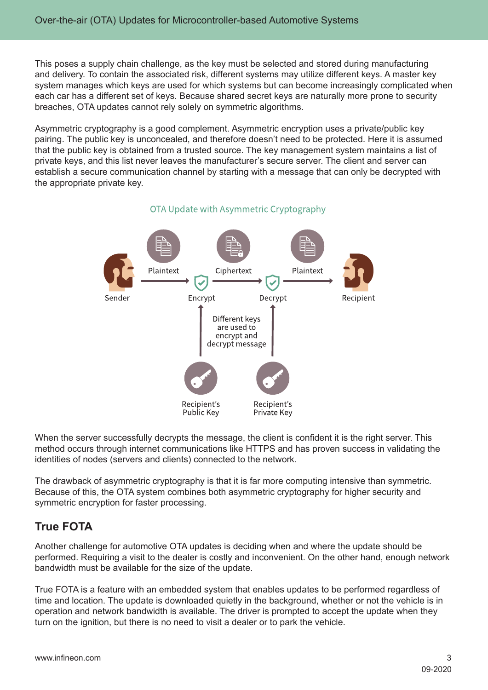This poses a supply chain challenge, as the key must be selected and stored during manufacturing and delivery. To contain the associated risk, different systems may utilize different keys. A master key system manages which keys are used for which systems but can become increasingly complicated when each car has a different set of keys. Because shared secret keys are naturally more prone to security breaches, OTA updates cannot rely solely on symmetric algorithms.

Asymmetric cryptography is a good complement. Asymmetric encryption uses a private/public key pairing. The public key is unconcealed, and therefore doesn't need to be protected. Here it is assumed that the public key is obtained from a trusted source. The key management system maintains a list of private keys, and this list never leaves the manufacturer's secure server. The client and server can establish a secure communication channel by starting with a message that can only be decrypted with the appropriate private key.



#### OTA Update with Asymmetric Cryptography

When the server successfully decrypts the message, the client is confident it is the right server. This method occurs through internet communications like HTTPS and has proven success in validating the identities of nodes (servers and clients) connected to the network.

The drawback of asymmetric cryptography is that it is far more computing intensive than symmetric. Because of this, the OTA system combines both asymmetric cryptography for higher security and symmetric encryption for faster processing.

### **True FOTA**

Another challenge for automotive OTA updates is deciding when and where the update should be performed. Requiring a visit to the dealer is costly and inconvenient. On the other hand, enough network bandwidth must be available for the size of the update.

True FOTA is a feature with an embedded system that enables updates to be performed regardless of time and location. The update is downloaded quietly in the background, whether or not the vehicle is in operation and network bandwidth is available. The driver is prompted to accept the update when they turn on the ignition, but there is no need to visit a dealer or to park the vehicle.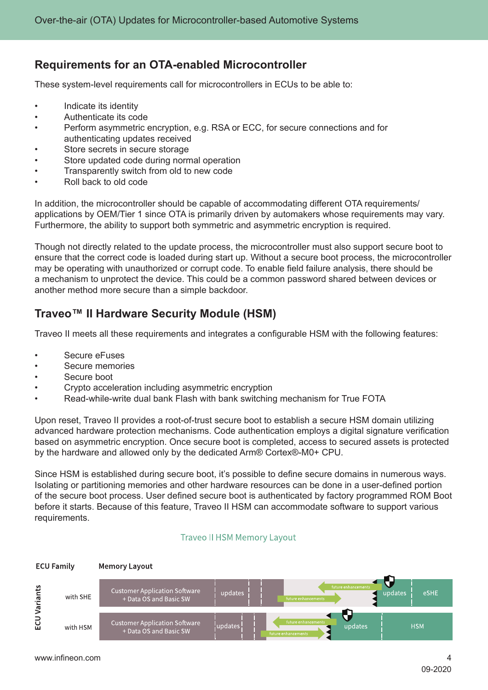### **Requirements for an OTA-enabled Microcontroller**

These system-level requirements call for microcontrollers in ECUs to be able to:

- Indicate its identity
- Authenticate its code
- Perform asymmetric encryption, e.g. RSA or ECC, for secure connections and for authenticating updates received
- Store secrets in secure storage
- Store updated code during normal operation
- Transparently switch from old to new code
- Roll back to old code

In addition, the microcontroller should be capable of accommodating different OTA requirements/ applications by OEM/Tier 1 since OTA is primarily driven by automakers whose requirements may vary. Furthermore, the ability to support both symmetric and asymmetric encryption is required.

Though not directly related to the update process, the microcontroller must also support secure boot to ensure that the correct code is loaded during start up. Without a secure boot process, the microcontroller may be operating with unauthorized or corrupt code. To enable field failure analysis, there should be a mechanism to unprotect the device. This could be a common password shared between devices or another method more secure than a simple backdoor.

### **Traveo™ II Hardware Security Module (HSM)**

Traveo II meets all these requirements and integrates a configurable HSM with the following features:

- Secure eFuses
- Secure memories
- Secure boot
- Crypto acceleration including asymmetric encryption
- Read-while-write dual bank Flash with bank switching mechanism for True FOTA

Upon reset, Traveo II provides a root-of-trust secure boot to establish a secure HSM domain utilizing advanced hardware protection mechanisms. Code authentication employs a digital signature verification based on asymmetric encryption. Once secure boot is completed, access to secured assets is protected by the hardware and allowed only by the dedicated Arm® Cortex®-M0+ CPU.

Since HSM is established during secure boot, it's possible to define secure domains in numerous ways. Isolating or partitioning memories and other hardware resources can be done in a user-defined portion of the secure boot process. User defined secure boot is authenticated by factory programmed ROM Boot before it starts. Because of this feature, Traveo II HSM can accommodate software to support various requirements.

#### **Traveo II HSM Memory Layout**

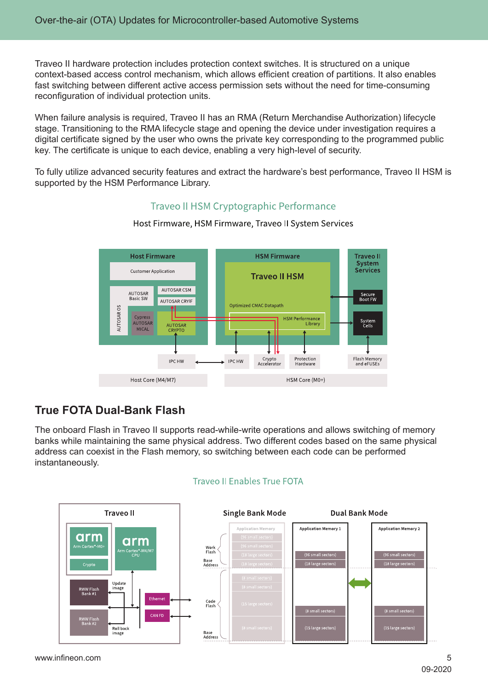Traveo II hardware protection includes protection context switches. It is structured on a unique context-based access control mechanism, which allows efficient creation of partitions. It also enables fast switching between different active access permission sets without the need for time-consuming reconfiguration of individual protection units.

When failure analysis is required, Traveo II has an RMA (Return Merchandise Authorization) lifecycle stage. Transitioning to the RMA lifecycle stage and opening the device under investigation requires a digital certificate signed by the user who owns the private key corresponding to the programmed public key. The certificate is unique to each device, enabling a very high-level of security.

To fully utilize advanced security features and extract the hardware's best performance, Traveo II HSM is supported by the HSM Performance Library.

#### **Traveo II HSM Cryptographic Performance**



Host Firmware, HSM Firmware, Traveo II System Services

## **True FOTA Dual-Bank Flash**

The onboard Flash in Traveo II supports read-while-write operations and allows switching of memory banks while maintaining the same physical address. Two different codes based on the same physical address can coexist in the Flash memory, so switching between each code can be performed instantaneously.



#### Traveo II Enables True FOTA